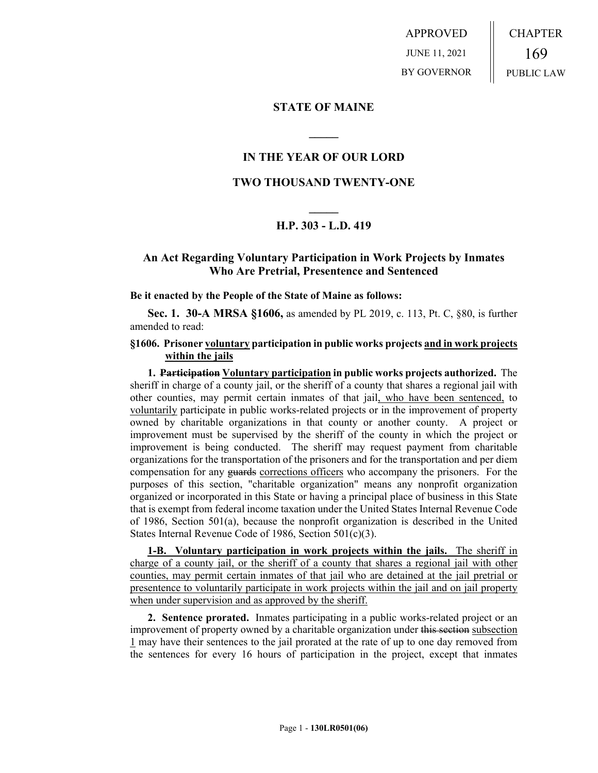APPROVED JUNE 11, 2021 BY GOVERNOR CHAPTER 169 PUBLIC LAW

### **STATE OF MAINE**

## **IN THE YEAR OF OUR LORD**

**\_\_\_\_\_**

### **TWO THOUSAND TWENTY-ONE**

# **\_\_\_\_\_ H.P. 303 - L.D. 419**

## **An Act Regarding Voluntary Participation in Work Projects by Inmates Who Are Pretrial, Presentence and Sentenced**

**Be it enacted by the People of the State of Maine as follows:**

**Sec. 1. 30-A MRSA §1606,** as amended by PL 2019, c. 113, Pt. C, §80, is further amended to read:

#### **§1606. Prisoner voluntary participation in public works projects and in work projects within the jails**

**1. Participation Voluntary participation in public works projects authorized.** The sheriff in charge of a county jail, or the sheriff of a county that shares a regional jail with other counties, may permit certain inmates of that jail, who have been sentenced, to voluntarily participate in public works-related projects or in the improvement of property owned by charitable organizations in that county or another county. A project or improvement must be supervised by the sheriff of the county in which the project or improvement is being conducted. The sheriff may request payment from charitable organizations for the transportation of the prisoners and for the transportation and per diem compensation for any guards corrections officers who accompany the prisoners. For the purposes of this section, "charitable organization" means any nonprofit organization organized or incorporated in this State or having a principal place of business in this State that is exempt from federal income taxation under the United States Internal Revenue Code of 1986, Section 501(a), because the nonprofit organization is described in the United States Internal Revenue Code of 1986, Section 501(c)(3).

**1-B. Voluntary participation in work projects within the jails.** The sheriff in charge of a county jail, or the sheriff of a county that shares a regional jail with other counties, may permit certain inmates of that jail who are detained at the jail pretrial or presentence to voluntarily participate in work projects within the jail and on jail property when under supervision and as approved by the sheriff.

**2. Sentence prorated.** Inmates participating in a public works-related project or an improvement of property owned by a charitable organization under this section subsection 1 may have their sentences to the jail prorated at the rate of up to one day removed from the sentences for every 16 hours of participation in the project, except that inmates